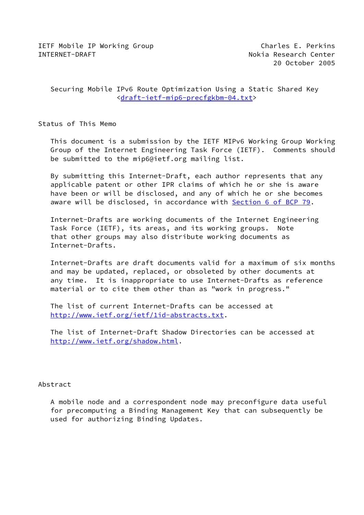20 October 2005

 Securing Mobile IPv6 Route Optimization Using a Static Shared Key [<draft-ietf-mip6-precfgkbm-04.txt](https://datatracker.ietf.org/doc/pdf/draft-ietf-mip6-precfgkbm-04.txt)>

Status of This Memo

 This document is a submission by the IETF MIPv6 Working Group Working Group of the Internet Engineering Task Force (IETF). Comments should be submitted to the mip6@ietf.org mailing list.

 By submitting this Internet-Draft, each author represents that any applicable patent or other IPR claims of which he or she is aware have been or will be disclosed, and any of which he or she becomes aware will be disclosed, in accordance with Section [6 of BCP 79.](https://datatracker.ietf.org/doc/pdf/bcp79#section-6)

 Internet-Drafts are working documents of the Internet Engineering Task Force (IETF), its areas, and its working groups. Note that other groups may also distribute working documents as Internet-Drafts.

 Internet-Drafts are draft documents valid for a maximum of six months and may be updated, replaced, or obsoleted by other documents at any time. It is inappropriate to use Internet-Drafts as reference material or to cite them other than as "work in progress."

 The list of current Internet-Drafts can be accessed at <http://www.ietf.org/ietf/1id-abstracts.txt>.

 The list of Internet-Draft Shadow Directories can be accessed at <http://www.ietf.org/shadow.html>.

## Abstract

 A mobile node and a correspondent node may preconfigure data useful for precomputing a Binding Management Key that can subsequently be used for authorizing Binding Updates.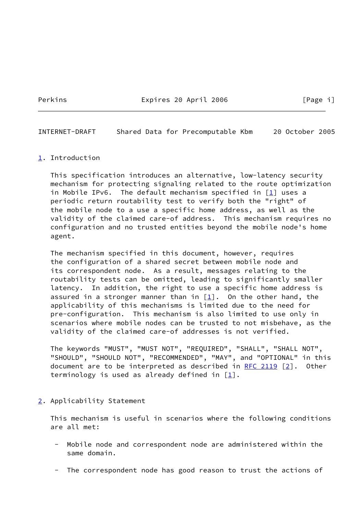Perkins **Expires 20 April 2006** [Page i]

INTERNET-DRAFT Shared Data for Precomputable Kbm 20 October 2005

## <span id="page-1-0"></span>[1](#page-1-0). Introduction

 This specification introduces an alternative, low-latency security mechanism for protecting signaling related to the route optimization in Mobile IPv6. The default mechanism specified in  $[1]$  $[1]$  uses a periodic return routability test to verify both the "right" of the mobile node to a use a specific home address, as well as the validity of the claimed care-of address. This mechanism requires no configuration and no trusted entities beyond the mobile node's home agent.

 The mechanism specified in this document, however, requires the configuration of a shared secret between mobile node and its correspondent node. As a result, messages relating to the routability tests can be omitted, leading to significantly smaller latency. In addition, the right to use a specific home address is assured in a stronger manner than in  $[1]$ . On the other hand, the applicability of this mechanisms is limited due to the need for pre-configuration. This mechanism is also limited to use only in scenarios where mobile nodes can be trusted to not misbehave, as the validity of the claimed care-of addresses is not verified.

 The keywords "MUST", "MUST NOT", "REQUIRED", "SHALL", "SHALL NOT", "SHOULD", "SHOULD NOT", "RECOMMENDED", "MAY", and "OPTIONAL" in this document are to be interpreted as described in [RFC 2119](https://datatracker.ietf.org/doc/pdf/rfc2119)  $[2]$  $[2]$ . Other terminology is used as already defined in  $[1]$  $[1]$ .

## <span id="page-1-1"></span>[2](#page-1-1). Applicability Statement

 This mechanism is useful in scenarios where the following conditions are all met:

- Mobile node and correspondent node are administered within the same domain.
- The correspondent node has good reason to trust the actions of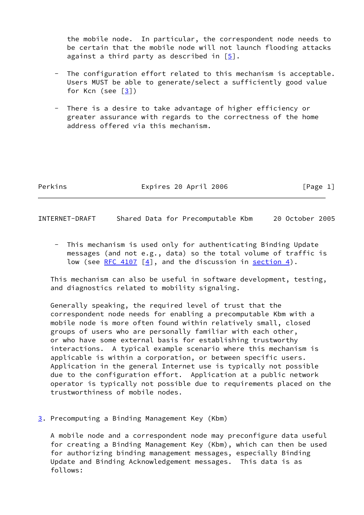the mobile node. In particular, the correspondent node needs to be certain that the mobile node will not launch flooding attacks against a third party as described in  $[5]$  $[5]$ .

- The configuration effort related to this mechanism is acceptable. Users MUST be able to generate/select a sufficiently good value for Kcn (see [\[3\]](#page-6-3))
- There is a desire to take advantage of higher efficiency or greater assurance with regards to the correctness of the home address offered via this mechanism.

Perkins **Expires 20 April 2006** [Page 1]

INTERNET-DRAFT Shared Data for Precomputable Kbm 20 October 2005

 - This mechanism is used only for authenticating Binding Update messages (and not e.g., data) so the total volume of traffic is low (see [RFC 4107](https://datatracker.ietf.org/doc/pdf/rfc4107)  $[4]$  $[4]$ , and the discussion in [section 4](#page-3-0)).

 This mechanism can also be useful in software development, testing, and diagnostics related to mobility signaling.

 Generally speaking, the required level of trust that the correspondent node needs for enabling a precomputable Kbm with a mobile node is more often found within relatively small, closed groups of users who are personally familiar with each other, or who have some external basis for establishing trustworthy interactions. A typical example scenario where this mechanism is applicable is within a corporation, or between specific users. Application in the general Internet use is typically not possible due to the configuration effort. Application at a public network operator is typically not possible due to requirements placed on the trustworthiness of mobile nodes.

<span id="page-2-0"></span>[3](#page-2-0). Precomputing a Binding Management Key (Kbm)

 A mobile node and a correspondent node may preconfigure data useful for creating a Binding Management Key (Kbm), which can then be used for authorizing binding management messages, especially Binding Update and Binding Acknowledgement messages. This data is as follows: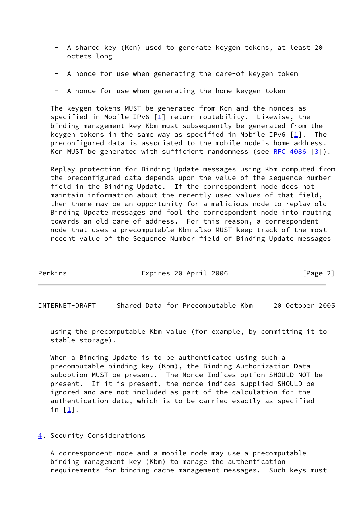- A shared key (Kcn) used to generate keygen tokens, at least 20 octets long
- A nonce for use when generating the care-of keygen token
- A nonce for use when generating the home keygen token

 The keygen tokens MUST be generated from Kcn and the nonces as specified in Mobile IPv6  $[1]$  return routability. Likewise, the binding management key Kbm must subsequently be generated from the keygen tokens in the same way as specified in Mobile IPv6  $\lceil \frac{1}{2} \rceil$ . The preconfigured data is associated to the mobile node's home address. Kcn MUST be generated with sufficient randomness (see RFC  $4086$   $[3]$  $[3]$ ).

 Replay protection for Binding Update messages using Kbm computed from the preconfigured data depends upon the value of the sequence number field in the Binding Update. If the correspondent node does not maintain information about the recently used values of that field, then there may be an opportunity for a malicious node to replay old Binding Update messages and fool the correspondent node into routing towards an old care-of address. For this reason, a correspondent node that uses a precomputable Kbm also MUST keep track of the most recent value of the Sequence Number field of Binding Update messages

| Perkins | Expires 20 April 2006 | [Page 2] |
|---------|-----------------------|----------|
|---------|-----------------------|----------|

INTERNET-DRAFT Shared Data for Precomputable Kbm 20 October 2005

 using the precomputable Kbm value (for example, by committing it to stable storage).

 When a Binding Update is to be authenticated using such a precomputable binding key (Kbm), the Binding Authorization Data suboption MUST be present. The Nonce Indices option SHOULD NOT be present. If it is present, the nonce indices supplied SHOULD be ignored and are not included as part of the calculation for the authentication data, which is to be carried exactly as specified in  $[1]$  $[1]$ .

<span id="page-3-0"></span>[4](#page-3-0). Security Considerations

 A correspondent node and a mobile node may use a precomputable binding management key (Kbm) to manage the authentication requirements for binding cache management messages. Such keys must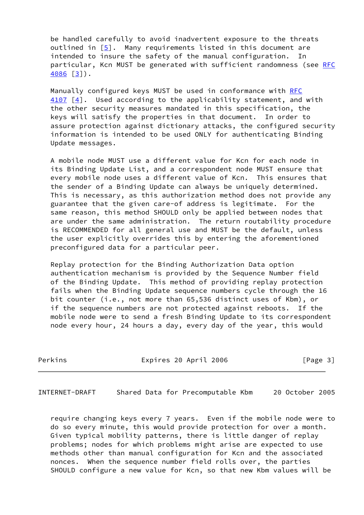be handled carefully to avoid inadvertent exposure to the threats outlined in  $[5]$  $[5]$ . Many requirements listed in this document are intended to insure the safety of the manual configuration. In particular, Kcn MUST be generated with sufficient randomness (see [RFC](https://datatracker.ietf.org/doc/pdf/rfc4086) [4086](https://datatracker.ietf.org/doc/pdf/rfc4086) [\[3\]](#page-6-3)).

 Manually configured keys MUST be used in conformance with [RFC](https://datatracker.ietf.org/doc/pdf/rfc4107) [4107](https://datatracker.ietf.org/doc/pdf/rfc4107) [\[4\]](#page-6-4). Used according to the applicability statement, and with the other security measures mandated in this specification, the keys will satisfy the properties in that document. In order to assure protection against dictionary attacks, the configured security information is intended to be used ONLY for authenticating Binding Update messages.

 A mobile node MUST use a different value for Kcn for each node in its Binding Update List, and a correspondent node MUST ensure that every mobile node uses a different value of Kcn. This ensures that the sender of a Binding Update can always be uniquely determined. This is necessary, as this authorization method does not provide any guarantee that the given care-of address is legitimate. For the same reason, this method SHOULD only be applied between nodes that are under the same administration. The return routability procedure is RECOMMENDED for all general use and MUST be the default, unless the user explicitly overrides this by entering the aforementioned preconfigured data for a particular peer.

 Replay protection for the Binding Authorization Data option authentication mechanism is provided by the Sequence Number field of the Binding Update. This method of providing replay protection fails when the Binding Update sequence numbers cycle through the 16 bit counter (i.e., not more than 65,536 distinct uses of Kbm), or if the sequence numbers are not protected against reboots. If the mobile node were to send a fresh Binding Update to its correspondent node every hour, 24 hours a day, every day of the year, this would

Perkins **Expires 20 April 2006** [Page 3]

INTERNET-DRAFT Shared Data for Precomputable Kbm 20 October 2005

 require changing keys every 7 years. Even if the mobile node were to do so every minute, this would provide protection for over a month. Given typical mobility patterns, there is little danger of replay problems; nodes for which problems might arise are expected to use methods other than manual configuration for Kcn and the associated nonces. When the sequence number field rolls over, the parties SHOULD configure a new value for Kcn, so that new Kbm values will be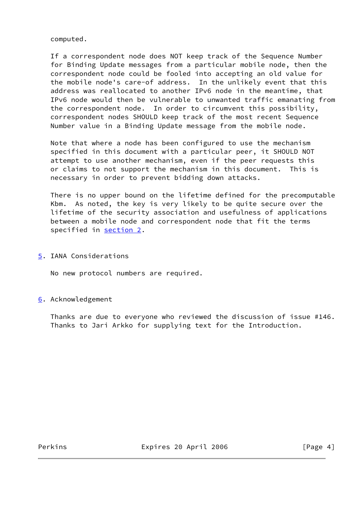computed.

 If a correspondent node does NOT keep track of the Sequence Number for Binding Update messages from a particular mobile node, then the correspondent node could be fooled into accepting an old value for the mobile node's care-of address. In the unlikely event that this address was reallocated to another IPv6 node in the meantime, that IPv6 node would then be vulnerable to unwanted traffic emanating from the correspondent node. In order to circumvent this possibility, correspondent nodes SHOULD keep track of the most recent Sequence Number value in a Binding Update message from the mobile node.

 Note that where a node has been configured to use the mechanism specified in this document with a particular peer, it SHOULD NOT attempt to use another mechanism, even if the peer requests this or claims to not support the mechanism in this document. This is necessary in order to prevent bidding down attacks.

 There is no upper bound on the lifetime defined for the precomputable Kbm. As noted, the key is very likely to be quite secure over the lifetime of the security association and usefulness of applications between a mobile node and correspondent node that fit the terms specified in [section 2](#page-1-1).

<span id="page-5-0"></span>[5](#page-5-0). IANA Considerations

No new protocol numbers are required.

<span id="page-5-1"></span>[6](#page-5-1). Acknowledgement

 Thanks are due to everyone who reviewed the discussion of issue #146. Thanks to Jari Arkko for supplying text for the Introduction.

Perkins **Expires 20 April 2006** [Page 4]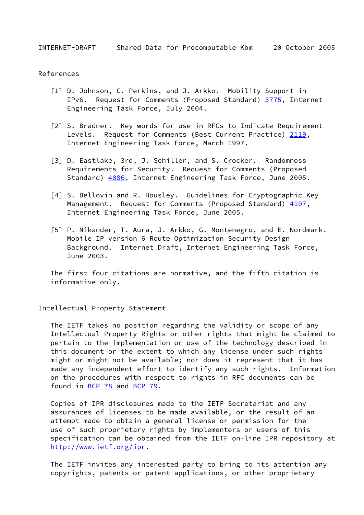INTERNET-DRAFT Shared Data for Precomputable Kbm 20 October 2005

## References

- <span id="page-6-0"></span> [1] D. Johnson, C. Perkins, and J. Arkko. Mobility Support in IPv6. Request for Comments (Proposed Standard) [3775,](https://datatracker.ietf.org/doc/pdf/rfc3775) Internet Engineering Task Force, July 2004.
- <span id="page-6-1"></span> [2] S. Bradner. Key words for use in RFCs to Indicate Requirement Levels. Request for Comments (Best Current Practice) [2119](https://datatracker.ietf.org/doc/pdf/rfc2119), Internet Engineering Task Force, March 1997.
- <span id="page-6-3"></span> [3] D. Eastlake, 3rd, J. Schiller, and S. Crocker. Randomness Requirements for Security. Request for Comments (Proposed Standard) [4086](https://datatracker.ietf.org/doc/pdf/rfc4086), Internet Engineering Task Force, June 2005.
- <span id="page-6-4"></span> [4] S. Bellovin and R. Housley. Guidelines for Cryptographic Key Management. Request for Comments (Proposed Standard) [4107](https://datatracker.ietf.org/doc/pdf/rfc4107), Internet Engineering Task Force, June 2005.
- <span id="page-6-2"></span> [5] P. Nikander, T. Aura, J. Arkko, G. Montenegro, and E. Nordmark. Mobile IP version 6 Route Optimization Security Design Background. Internet Draft, Internet Engineering Task Force, June 2003.

 The first four citations are normative, and the fifth citation is informative only.

Intellectual Property Statement

 The IETF takes no position regarding the validity or scope of any Intellectual Property Rights or other rights that might be claimed to pertain to the implementation or use of the technology described in this document or the extent to which any license under such rights might or might not be available; nor does it represent that it has made any independent effort to identify any such rights. Information on the procedures with respect to rights in RFC documents can be found in [BCP 78](https://datatracker.ietf.org/doc/pdf/bcp78) and [BCP 79](https://datatracker.ietf.org/doc/pdf/bcp79).

 Copies of IPR disclosures made to the IETF Secretariat and any assurances of licenses to be made available, or the result of an attempt made to obtain a general license or permission for the use of such proprietary rights by implementers or users of this specification can be obtained from the IETF on-line IPR repository at <http://www.ietf.org/ipr>.

 The IETF invites any interested party to bring to its attention any copyrights, patents or patent applications, or other proprietary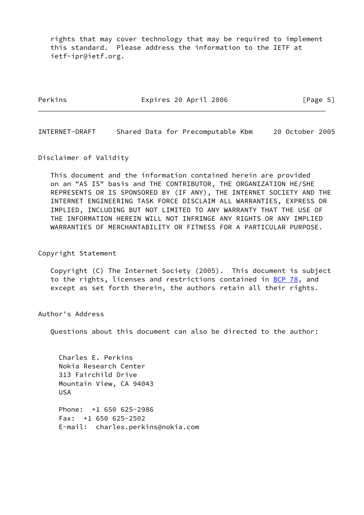rights that may cover technology that may be required to implement this standard. Please address the information to the IETF at ietf-ipr@ietf.org.

Perkins Expires 20 April 2006 [Page 5]

INTERNET-DRAFT Shared Data for Precomputable Kbm 20 October 2005

Disclaimer of Validity

 This document and the information contained herein are provided on an "AS IS" basis and THE CONTRIBUTOR, THE ORGANIZATION HE/SHE REPRESENTS OR IS SPONSORED BY (IF ANY), THE INTERNET SOCIETY AND THE INTERNET ENGINEERING TASK FORCE DISCLAIM ALL WARRANTIES, EXPRESS OR IMPLIED, INCLUDING BUT NOT LIMITED TO ANY WARRANTY THAT THE USE OF THE INFORMATION HEREIN WILL NOT INFRINGE ANY RIGHTS OR ANY IMPLIED WARRANTIES OF MERCHANTABILITY OR FITNESS FOR A PARTICULAR PURPOSE.

Copyright Statement

 Copyright (C) The Internet Society (2005). This document is subject to the rights, licenses and restrictions contained in [BCP 78](https://datatracker.ietf.org/doc/pdf/bcp78), and except as set forth therein, the authors retain all their rights.

Author's Address

Questions about this document can also be directed to the author:

 Charles E. Perkins Nokia Research Center 313 Fairchild Drive Mountain View, CA 94043 USA

 Phone: +1 650 625-2986 Fax: +1 650 625-2502 E-mail: charles.perkins@nokia.com